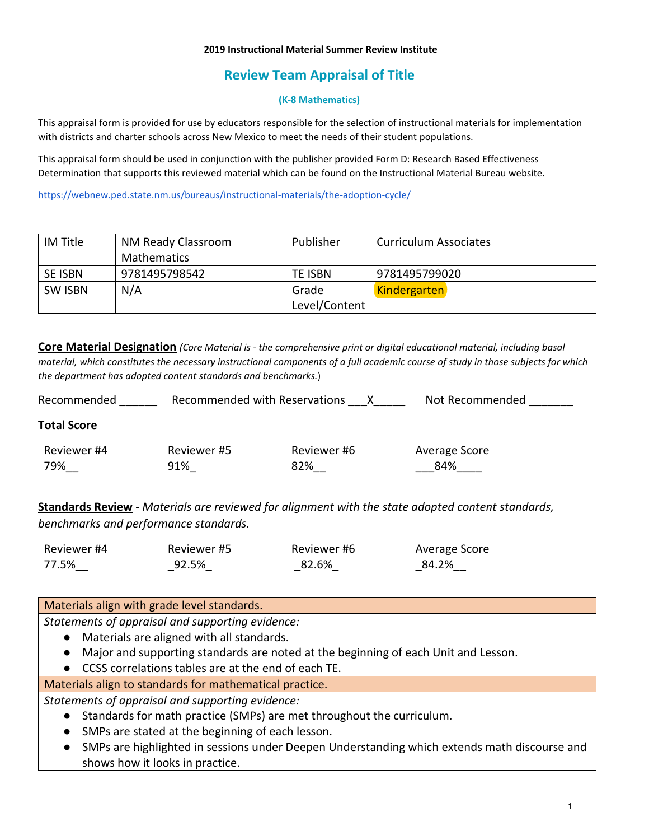# **Review Team Appraisal of Title**

### **(K-8 Mathematics)**

This appraisal form is provided for use by educators responsible for the selection of instructional materials for implementation with districts and charter schools across New Mexico to meet the needs of their student populations.

This appraisal form should be used in conjunction with the publisher provided Form D: Research Based Effectiveness Determination that supports this reviewed material which can be found on the Instructional Material Bureau website.

<https://webnew.ped.state.nm.us/bureaus/instructional-materials/the-adoption-cycle/>

| IM Title       | NM Ready Classroom | Publisher     | <b>Curriculum Associates</b> |
|----------------|--------------------|---------------|------------------------------|
|                | <b>Mathematics</b> |               |                              |
| <b>SE ISBN</b> | 9781495798542      | TE ISBN       | 9781495799020                |
| <b>SW ISBN</b> | N/A                | Grade         | Kindergarten                 |
|                |                    | Level/Content |                              |

**Core Material Designation** *(Core Material is - the comprehensive print or digital educational material, including basal material, which constitutes the necessary instructional components of a full academic course of study in those subjects for which the department has adopted content standards and benchmarks.*)

| Recommended        | Recommended with Reservations |             | Not Recommended |
|--------------------|-------------------------------|-------------|-----------------|
| <b>Total Score</b> |                               |             |                 |
| Reviewer #4        | Reviewer #5                   | Reviewer #6 | Average Score   |

79%\_\_ 91%\_ 82%\_\_ \_\_\_84%\_\_\_\_

**Standards Review** - *Materials are reviewed for alignment with the state adopted content standards, benchmarks and performance standards.*

| Reviewer #4 | Reviewer #5 | Reviewer #6 | Average Score |
|-------------|-------------|-------------|---------------|
| 77.5%       | 92.5%       | 82.6%       | 84.2%         |

### Materials align with grade level standards.

*Statements of appraisal and supporting evidence:*

- Materials are aligned with all standards.
- Major and supporting standards are noted at the beginning of each Unit and Lesson.
- CCSS correlations tables are at the end of each TE.

### Materials align to standards for mathematical practice.

- Standards for math practice (SMPs) are met throughout the curriculum.
- SMPs are stated at the beginning of each lesson.
- SMPs are highlighted in sessions under Deepen Understanding which extends math discourse and shows how it looks in practice.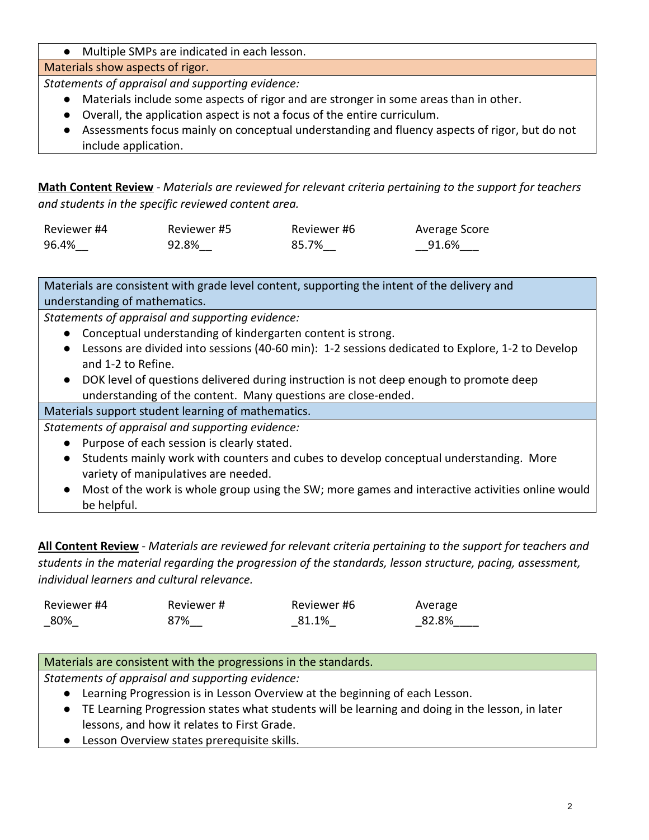● Multiple SMPs are indicated in each lesson.

Materials show aspects of rigor.

*Statements of appraisal and supporting evidence:*

- Materials include some aspects of rigor and are stronger in some areas than in other.
- Overall, the application aspect is not a focus of the entire curriculum.
- Assessments focus mainly on conceptual understanding and fluency aspects of rigor, but do not include application.

**Math Content Review** - *Materials are reviewed for relevant criteria pertaining to the support for teachers and students in the specific reviewed content area.*

| Reviewer #4 | Reviewer #5 | Reviewer #6 | Average Score |
|-------------|-------------|-------------|---------------|
| 96.4%       | 92.8%       | 85.7%       | 91.6%         |

Materials are consistent with grade level content, supporting the intent of the delivery and understanding of mathematics.

*Statements of appraisal and supporting evidence:*

- Conceptual understanding of kindergarten content is strong.
- Lessons are divided into sessions (40-60 min): 1-2 sessions dedicated to Explore, 1-2 to Develop and 1-2 to Refine.
- DOK level of questions delivered during instruction is not deep enough to promote deep understanding of the content. Many questions are close-ended.

## Materials support student learning of mathematics.

*Statements of appraisal and supporting evidence:*

- Purpose of each session is clearly stated.
- Students mainly work with counters and cubes to develop conceptual understanding. More variety of manipulatives are needed.
- Most of the work is whole group using the SW; more games and interactive activities online would be helpful.

**All Content Review** - *Materials are reviewed for relevant criteria pertaining to the support for teachers and students in the material regarding the progression of the standards, lesson structure, pacing, assessment, individual learners and cultural relevance.*

| Reviewer #4 | Reviewer # | Reviewer #6 | Average |
|-------------|------------|-------------|---------|
| 80%         | 87%        | 81.1%       | 82.8%   |

### Materials are consistent with the progressions in the standards.

- Learning Progression is in Lesson Overview at the beginning of each Lesson.
- TE Learning Progression states what students will be learning and doing in the lesson, in later lessons, and how it relates to First Grade.
- Lesson Overview states prerequisite skills.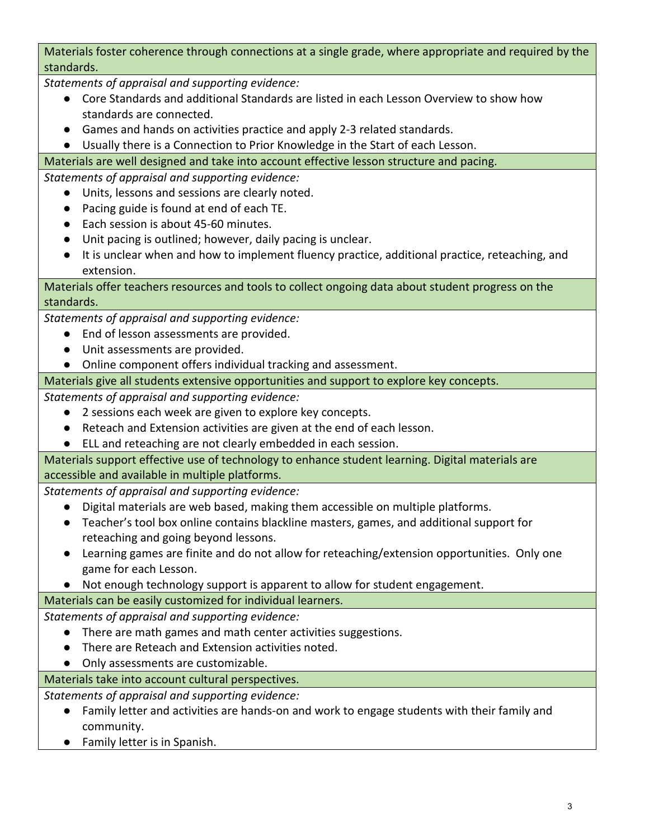Materials foster coherence through connections at a single grade, where appropriate and required by the standards.

*Statements of appraisal and supporting evidence:*

- Core Standards and additional Standards are listed in each Lesson Overview to show how standards are connected.
- Games and hands on activities practice and apply 2-3 related standards.
- Usually there is a Connection to Prior Knowledge in the Start of each Lesson.

Materials are well designed and take into account effective lesson structure and pacing.

*Statements of appraisal and supporting evidence:*

- Units, lessons and sessions are clearly noted.
- Pacing guide is found at end of each TE.
- Each session is about 45-60 minutes.
- Unit pacing is outlined; however, daily pacing is unclear.
- It is unclear when and how to implement fluency practice, additional practice, reteaching, and extension.

Materials offer teachers resources and tools to collect ongoing data about student progress on the standards.

*Statements of appraisal and supporting evidence:*

- End of lesson assessments are provided.
- Unit assessments are provided.
- Online component offers individual tracking and assessment.

Materials give all students extensive opportunities and support to explore key concepts.

*Statements of appraisal and supporting evidence:*

- 2 sessions each week are given to explore key concepts.
- Reteach and Extension activities are given at the end of each lesson.
- ELL and reteaching are not clearly embedded in each session.

Materials support effective use of technology to enhance student learning. Digital materials are accessible and available in multiple platforms.

*Statements of appraisal and supporting evidence:*

- Digital materials are web based, making them accessible on multiple platforms.
- Teacher's tool box online contains blackline masters, games, and additional support for reteaching and going beyond lessons.
- Learning games are finite and do not allow for reteaching/extension opportunities. Only one game for each Lesson.
- Not enough technology support is apparent to allow for student engagement.

### Materials can be easily customized for individual learners.

*Statements of appraisal and supporting evidence:*

- There are math games and math center activities suggestions.
- There are Reteach and Extension activities noted.
- Only assessments are customizable.

Materials take into account cultural perspectives.

- Family letter and activities are hands-on and work to engage students with their family and community.
- Family letter is in Spanish.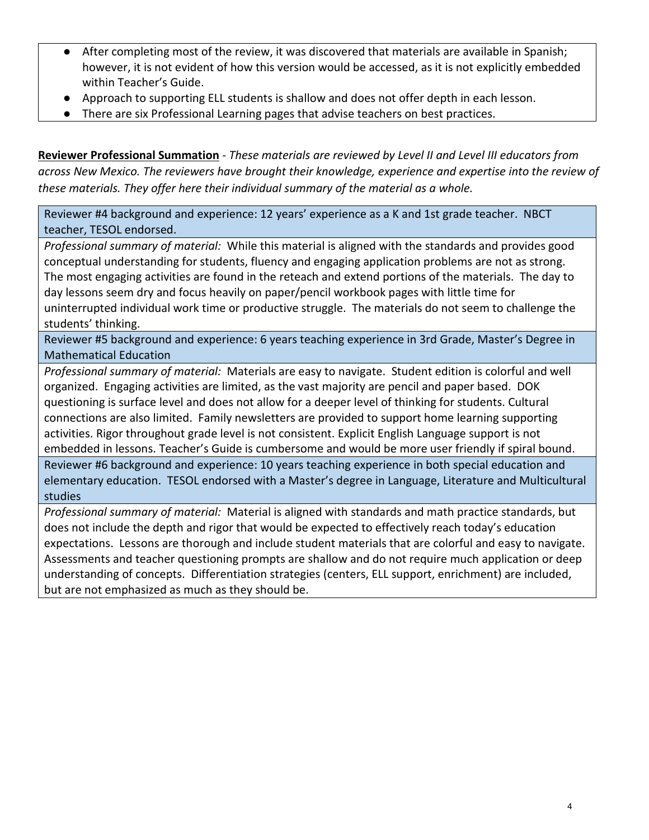- After completing most of the review, it was discovered that materials are available in Spanish; however, it is not evident of how this version would be accessed, as it is not explicitly embedded within Teacher's Guide.
- Approach to supporting ELL students is shallow and does not offer depth in each lesson.
- There are six Professional Learning pages that advise teachers on best practices.

**Reviewer Professional Summation** - *These materials are reviewed by Level II and Level III educators from across New Mexico. The reviewers have brought their knowledge, experience and expertise into the review of these materials. They offer here their individual summary of the material as a whole.* 

Reviewer #4 background and experience: 12 years' experience as a K and 1st grade teacher. NBCT teacher, TESOL endorsed.

*Professional summary of material:* While this material is aligned with the standards and provides good conceptual understanding for students, fluency and engaging application problems are not as strong. The most engaging activities are found in the reteach and extend portions of the materials. The day to day lessons seem dry and focus heavily on paper/pencil workbook pages with little time for uninterrupted individual work time or productive struggle. The materials do not seem to challenge the students' thinking.

Reviewer #5 background and experience: 6 years teaching experience in 3rd Grade, Master's Degree in Mathematical Education

*Professional summary of material:* Materials are easy to navigate. Student edition is colorful and well organized. Engaging activities are limited, as the vast majority are pencil and paper based. DOK questioning is surface level and does not allow for a deeper level of thinking for students. Cultural connections are also limited. Family newsletters are provided to support home learning supporting activities. Rigor throughout grade level is not consistent. Explicit English Language support is not embedded in lessons. Teacher's Guide is cumbersome and would be more user friendly if spiral bound.

Reviewer #6 background and experience: 10 years teaching experience in both special education and elementary education. TESOL endorsed with a Master's degree in Language, Literature and Multicultural studies

*Professional summary of material:* Material is aligned with standards and math practice standards, but does not include the depth and rigor that would be expected to effectively reach today's education expectations. Lessons are thorough and include student materials that are colorful and easy to navigate. Assessments and teacher questioning prompts are shallow and do not require much application or deep understanding of concepts. Differentiation strategies (centers, ELL support, enrichment) are included, but are not emphasized as much as they should be.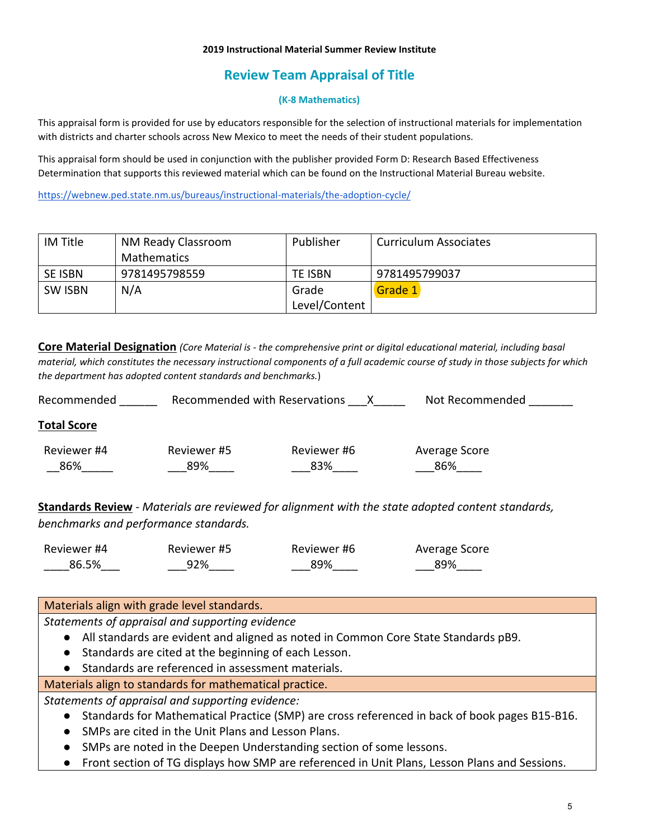# **Review Team Appraisal of Title**

### **(K-8 Mathematics)**

This appraisal form is provided for use by educators responsible for the selection of instructional materials for implementation with districts and charter schools across New Mexico to meet the needs of their student populations.

This appraisal form should be used in conjunction with the publisher provided Form D: Research Based Effectiveness Determination that supports this reviewed material which can be found on the Instructional Material Bureau website.

<https://webnew.ped.state.nm.us/bureaus/instructional-materials/the-adoption-cycle/>

| IM Title       | NM Ready Classroom | Publisher     | Curriculum Associates |
|----------------|--------------------|---------------|-----------------------|
|                | <b>Mathematics</b> |               |                       |
| <b>SE ISBN</b> | 9781495798559      | TE ISBN       | 9781495799037         |
| <b>SW ISBN</b> | N/A                | Grade         | Grade 1               |
|                |                    | Level/Content |                       |

**Core Material Designation** *(Core Material is - the comprehensive print or digital educational material, including basal material, which constitutes the necessary instructional components of a full academic course of study in those subjects for which the department has adopted content standards and benchmarks.*)

| Recommended        | Recommended with Reservations |             | Not Recommended |  |
|--------------------|-------------------------------|-------------|-----------------|--|
| <b>Total Score</b> |                               |             |                 |  |
| Reviewer #4        | Reviewer #5                   | Reviewer #6 | Average Score   |  |
| 86%                | 89%                           | 83%         | 86%             |  |

**Standards Review** - *Materials are reviewed for alignment with the state adopted content standards, benchmarks and performance standards.*

| Reviewer #4 | Reviewer #5 | Reviewer #6 | Average Score |
|-------------|-------------|-------------|---------------|
| 86.5%       | 92%         | 89%         | 89%           |

### Materials align with grade level standards.

*Statements of appraisal and supporting evidence*

- All standards are evident and aligned as noted in Common Core State Standards pB9.
- Standards are cited at the beginning of each Lesson.
- Standards are referenced in assessment materials.

### Materials align to standards for mathematical practice.

- Standards for Mathematical Practice (SMP) are cross referenced in back of book pages B15-B16.
- SMPs are cited in the Unit Plans and Lesson Plans.
- SMPs are noted in the Deepen Understanding section of some lessons.
- Front section of TG displays how SMP are referenced in Unit Plans, Lesson Plans and Sessions.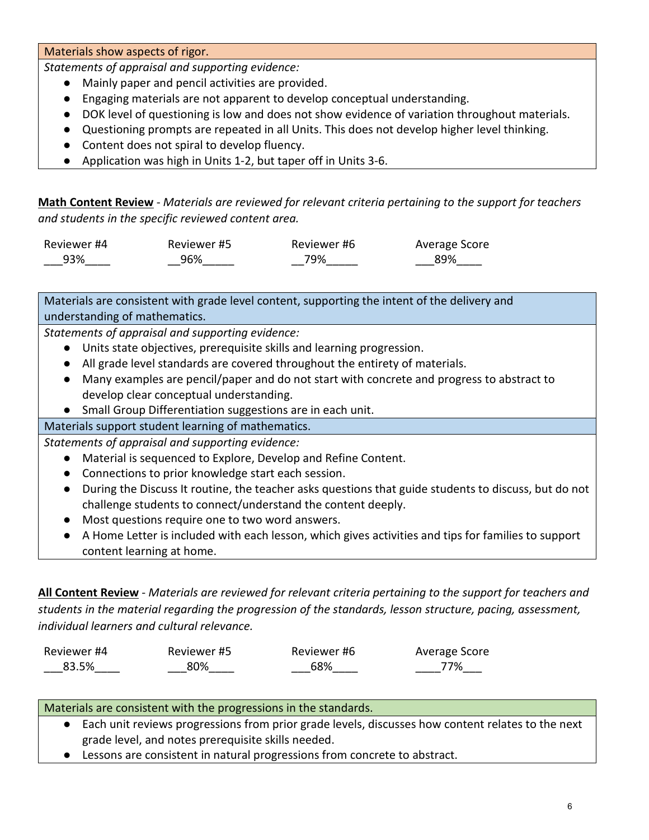Materials show aspects of rigor.

*Statements of appraisal and supporting evidence:*

- Mainly paper and pencil activities are provided.
- Engaging materials are not apparent to develop conceptual understanding.
- DOK level of questioning is low and does not show evidence of variation throughout materials.
- Questioning prompts are repeated in all Units. This does not develop higher level thinking.
- Content does not spiral to develop fluency.
- Application was high in Units 1-2, but taper off in Units 3-6.

**Math Content Review** - *Materials are reviewed for relevant criteria pertaining to the support for teachers and students in the specific reviewed content area.*

| Reviewer #4 | Reviewer #5 | Reviewer #6 | Average Score |
|-------------|-------------|-------------|---------------|
| 93%         | 96%         | 79%         | 89%           |

Materials are consistent with grade level content, supporting the intent of the delivery and understanding of mathematics.

*Statements of appraisal and supporting evidence:*

- Units state objectives, prerequisite skills and learning progression.
- All grade level standards are covered throughout the entirety of materials.
- Many examples are pencil/paper and do not start with concrete and progress to abstract to develop clear conceptual understanding.
- Small Group Differentiation suggestions are in each unit.

### Materials support student learning of mathematics.

*Statements of appraisal and supporting evidence:*

- Material is sequenced to Explore, Develop and Refine Content.
- Connections to prior knowledge start each session.
- During the Discuss It routine, the teacher asks questions that guide students to discuss, but do not challenge students to connect/understand the content deeply.
- Most questions require one to two word answers.
- A Home Letter is included with each lesson, which gives activities and tips for families to support content learning at home.

**All Content Review** - *Materials are reviewed for relevant criteria pertaining to the support for teachers and students in the material regarding the progression of the standards, lesson structure, pacing, assessment, individual learners and cultural relevance.*

| Reviewer #4 | Reviewer #5 | Reviewer #6 | Average Score |
|-------------|-------------|-------------|---------------|
| 83.5%       | 80%         | 68%         | 77%           |

### Materials are consistent with the progressions in the standards.

- Each unit reviews progressions from prior grade levels, discusses how content relates to the next grade level, and notes prerequisite skills needed.
- Lessons are consistent in natural progressions from concrete to abstract.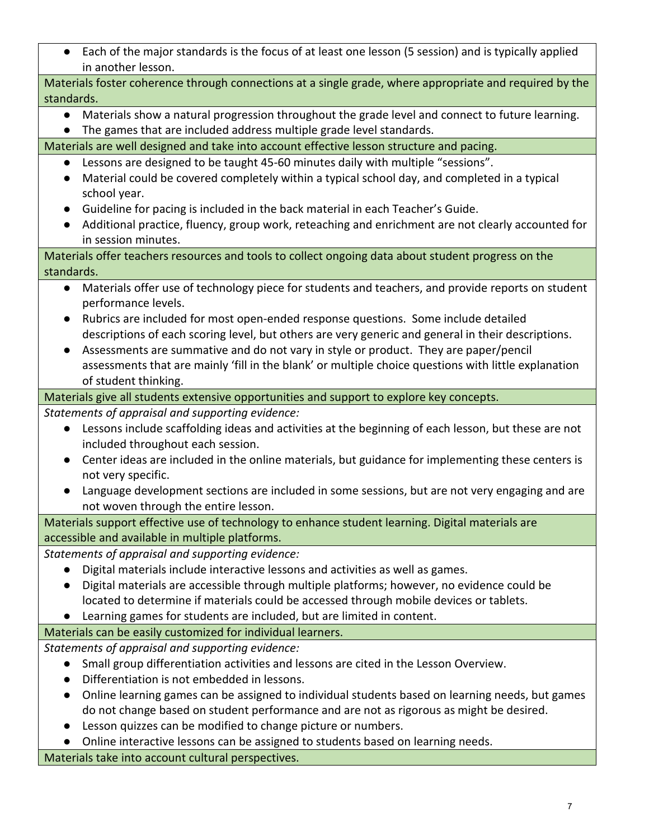● Each of the major standards is the focus of at least one lesson (5 session) and is typically applied in another lesson.

Materials foster coherence through connections at a single grade, where appropriate and required by the standards.

- Materials show a natural progression throughout the grade level and connect to future learning.
- The games that are included address multiple grade level standards.

Materials are well designed and take into account effective lesson structure and pacing.

- Lessons are designed to be taught 45-60 minutes daily with multiple "sessions".
- Material could be covered completely within a typical school day, and completed in a typical school year.
- Guideline for pacing is included in the back material in each Teacher's Guide.
- Additional practice, fluency, group work, reteaching and enrichment are not clearly accounted for in session minutes.

Materials offer teachers resources and tools to collect ongoing data about student progress on the standards.

- Materials offer use of technology piece for students and teachers, and provide reports on student performance levels.
- Rubrics are included for most open-ended response questions. Some include detailed descriptions of each scoring level, but others are very generic and general in their descriptions.
- Assessments are summative and do not vary in style or product. They are paper/pencil assessments that are mainly 'fill in the blank' or multiple choice questions with little explanation of student thinking.

Materials give all students extensive opportunities and support to explore key concepts.

*Statements of appraisal and supporting evidence:*

- Lessons include scaffolding ideas and activities at the beginning of each lesson, but these are not included throughout each session.
- Center ideas are included in the online materials, but guidance for implementing these centers is not very specific.
- Language development sections are included in some sessions, but are not very engaging and are not woven through the entire lesson.

Materials support effective use of technology to enhance student learning. Digital materials are accessible and available in multiple platforms.

*Statements of appraisal and supporting evidence:*

- Digital materials include interactive lessons and activities as well as games.
- Digital materials are accessible through multiple platforms; however, no evidence could be located to determine if materials could be accessed through mobile devices or tablets.
- Learning games for students are included, but are limited in content.

# Materials can be easily customized for individual learners.

*Statements of appraisal and supporting evidence:*

- Small group differentiation activities and lessons are cited in the Lesson Overview.
- Differentiation is not embedded in lessons.
- Online learning games can be assigned to individual students based on learning needs, but games do not change based on student performance and are not as rigorous as might be desired.
- Lesson quizzes can be modified to change picture or numbers.
- Online interactive lessons can be assigned to students based on learning needs.

Materials take into account cultural perspectives.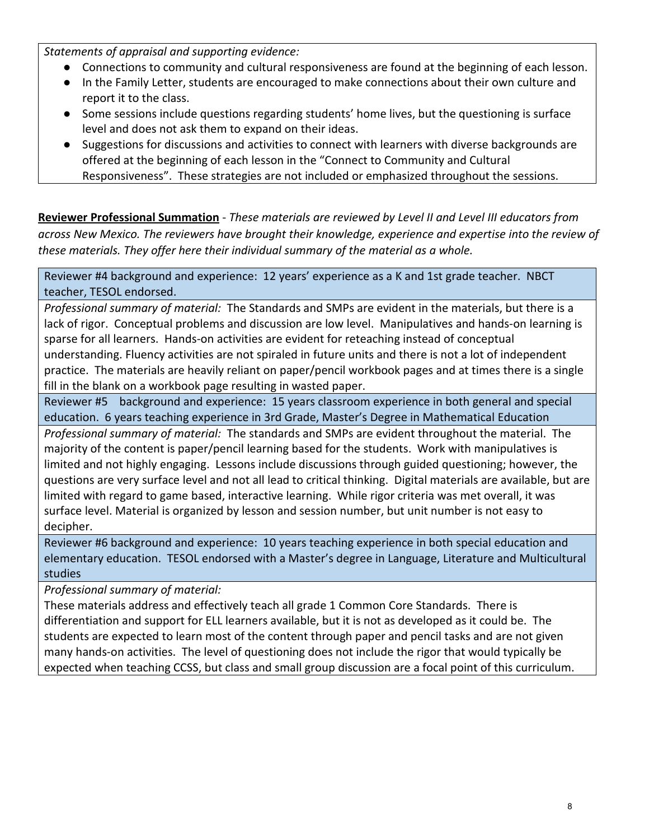*Statements of appraisal and supporting evidence:*

- Connections to community and cultural responsiveness are found at the beginning of each lesson.
- In the Family Letter, students are encouraged to make connections about their own culture and report it to the class.
- Some sessions include questions regarding students' home lives, but the questioning is surface level and does not ask them to expand on their ideas.
- Suggestions for discussions and activities to connect with learners with diverse backgrounds are offered at the beginning of each lesson in the "Connect to Community and Cultural Responsiveness". These strategies are not included or emphasized throughout the sessions.

**Reviewer Professional Summation** - *These materials are reviewed by Level II and Level III educators from across New Mexico. The reviewers have brought their knowledge, experience and expertise into the review of these materials. They offer here their individual summary of the material as a whole.* 

Reviewer #4 background and experience: 12 years' experience as a K and 1st grade teacher. NBCT teacher, TESOL endorsed.

*Professional summary of material:* The Standards and SMPs are evident in the materials, but there is a lack of rigor. Conceptual problems and discussion are low level. Manipulatives and hands-on learning is sparse for all learners. Hands-on activities are evident for reteaching instead of conceptual understanding. Fluency activities are not spiraled in future units and there is not a lot of independent practice. The materials are heavily reliant on paper/pencil workbook pages and at times there is a single fill in the blank on a workbook page resulting in wasted paper.

Reviewer #5 background and experience: 15 years classroom experience in both general and special education. 6 years teaching experience in 3rd Grade, Master's Degree in Mathematical Education

*Professional summary of material:* The standards and SMPs are evident throughout the material. The majority of the content is paper/pencil learning based for the students. Work with manipulatives is limited and not highly engaging. Lessons include discussions through guided questioning; however, the questions are very surface level and not all lead to critical thinking. Digital materials are available, but are limited with regard to game based, interactive learning. While rigor criteria was met overall, it was surface level. Material is organized by lesson and session number, but unit number is not easy to decipher.

Reviewer #6 background and experience: 10 years teaching experience in both special education and elementary education. TESOL endorsed with a Master's degree in Language, Literature and Multicultural studies

*Professional summary of material:*

These materials address and effectively teach all grade 1 Common Core Standards. There is differentiation and support for ELL learners available, but it is not as developed as it could be. The students are expected to learn most of the content through paper and pencil tasks and are not given many hands-on activities. The level of questioning does not include the rigor that would typically be expected when teaching CCSS, but class and small group discussion are a focal point of this curriculum.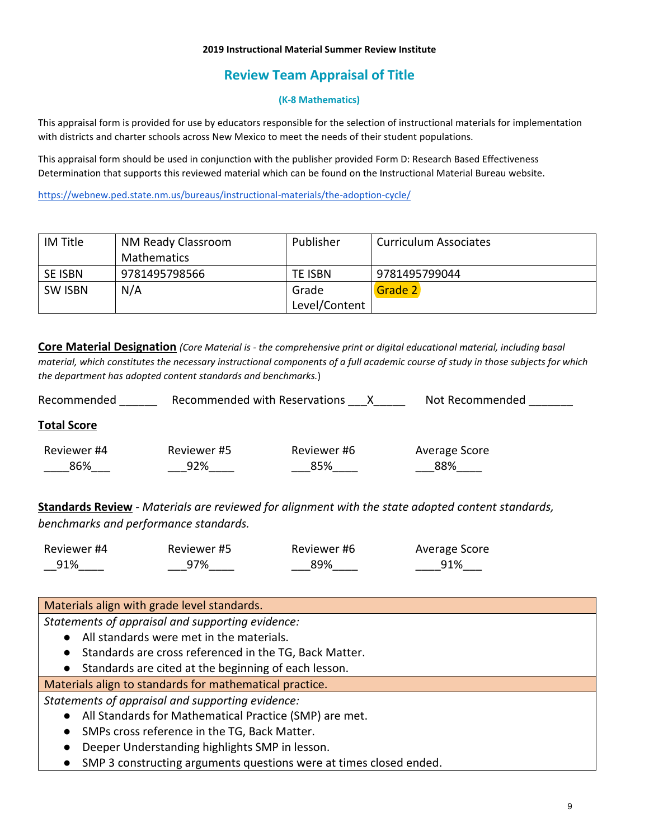# **Review Team Appraisal of Title**

### **(K-8 Mathematics)**

This appraisal form is provided for use by educators responsible for the selection of instructional materials for implementation with districts and charter schools across New Mexico to meet the needs of their student populations.

This appraisal form should be used in conjunction with the publisher provided Form D: Research Based Effectiveness Determination that supports this reviewed material which can be found on the Instructional Material Bureau website.

<https://webnew.ped.state.nm.us/bureaus/instructional-materials/the-adoption-cycle/>

| IM Title       | NM Ready Classroom | Publisher     | Curriculum Associates |
|----------------|--------------------|---------------|-----------------------|
|                | <b>Mathematics</b> |               |                       |
| <b>SE ISBN</b> | 9781495798566      | TE ISBN       | 9781495799044         |
| <b>SW ISBN</b> | N/A                | Grade         | Grade 2               |
|                |                    | Level/Content |                       |

**Core Material Designation** *(Core Material is - the comprehensive print or digital educational material, including basal material, which constitutes the necessary instructional components of a full academic course of study in those subjects for which the department has adopted content standards and benchmarks.*)

| Recommended        | Recommended with Reservations |             | Not Recommended |  |
|--------------------|-------------------------------|-------------|-----------------|--|
| <b>Total Score</b> |                               |             |                 |  |
| Reviewer #4        | Reviewer #5                   | Reviewer #6 | Average Score   |  |
| 86%                | 92%                           | 85%         | 88%             |  |

**Standards Review** - *Materials are reviewed for alignment with the state adopted content standards, benchmarks and performance standards.*

| Reviewer #4 | Reviewer #5 | Reviewer #6 | Average Score |
|-------------|-------------|-------------|---------------|
| 91%         | 97%         | 89%         | 91%           |

| Materials align with grade level standards.                         |
|---------------------------------------------------------------------|
| Statements of appraisal and supporting evidence:                    |
| All standards were met in the materials.<br>$\bullet$               |
| Standards are cross referenced in the TG, Back Matter.<br>$\bullet$ |
| Standards are cited at the beginning of each lesson.<br>$\bullet$   |
| Materials align to standards for mathematical practice.             |
| Statements of appraisal and supporting evidence:                    |
| • All Standards for Mathematical Practice (SMP) are met.            |
| SMPs cross reference in the TG, Back Matter.                        |
| Deeper Understanding highlights SMP in lesson.                      |
| SMP 3 constructing arguments questions were at times closed ended.  |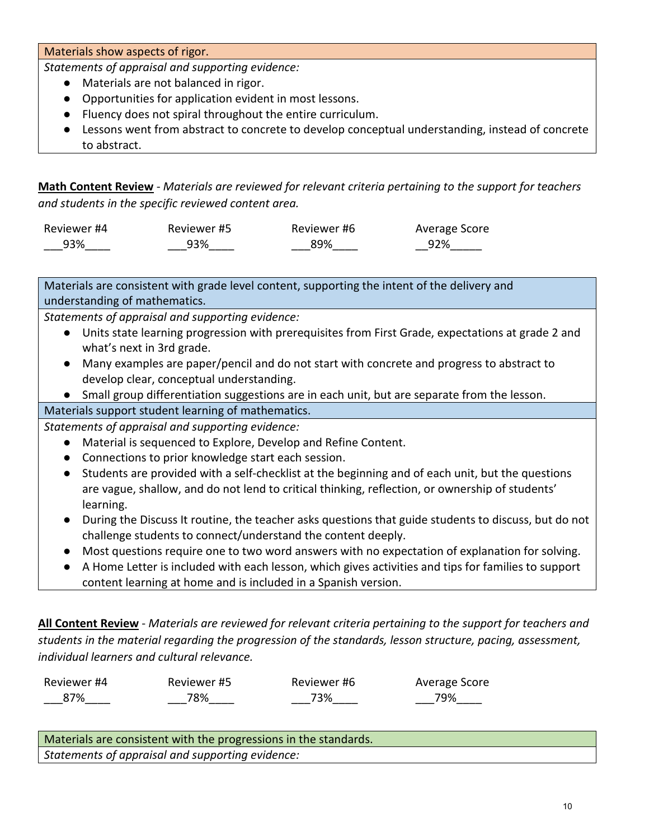Materials show aspects of rigor.

*Statements of appraisal and supporting evidence:*

- Materials are not balanced in rigor.
- Opportunities for application evident in most lessons.
- Fluency does not spiral throughout the entire curriculum.
- Lessons went from abstract to concrete to develop conceptual understanding, instead of concrete to abstract.

**Math Content Review** - *Materials are reviewed for relevant criteria pertaining to the support for teachers and students in the specific reviewed content area.*

| Reviewer #4 | Reviewer #5 | Reviewer #6 | Average Score |
|-------------|-------------|-------------|---------------|
| 93%         | 93%         | 89%         | 92%           |

Materials are consistent with grade level content, supporting the intent of the delivery and understanding of mathematics.

*Statements of appraisal and supporting evidence:*

- Units state learning progression with prerequisites from First Grade, expectations at grade 2 and what's next in 3rd grade.
- Many examples are paper/pencil and do not start with concrete and progress to abstract to develop clear, conceptual understanding.
- Small group differentiation suggestions are in each unit, but are separate from the lesson.

### Materials support student learning of mathematics.

*Statements of appraisal and supporting evidence:*

- Material is sequenced to Explore, Develop and Refine Content.
- Connections to prior knowledge start each session.
- Students are provided with a self-checklist at the beginning and of each unit, but the questions are vague, shallow, and do not lend to critical thinking, reflection, or ownership of students' learning.
- During the Discuss It routine, the teacher asks questions that guide students to discuss, but do not challenge students to connect/understand the content deeply.
- Most questions require one to two word answers with no expectation of explanation for solving.
- A Home Letter is included with each lesson, which gives activities and tips for families to support content learning at home and is included in a Spanish version.

**All Content Review** - *Materials are reviewed for relevant criteria pertaining to the support for teachers and students in the material regarding the progression of the standards, lesson structure, pacing, assessment, individual learners and cultural relevance.*

| Reviewer #4 | Reviewer #5 | Reviewer #6 | Average Score |
|-------------|-------------|-------------|---------------|
| 87%         | 78%         | 73%         | 79%           |

Materials are consistent with the progressions in the standards. *Statements of appraisal and supporting evidence:*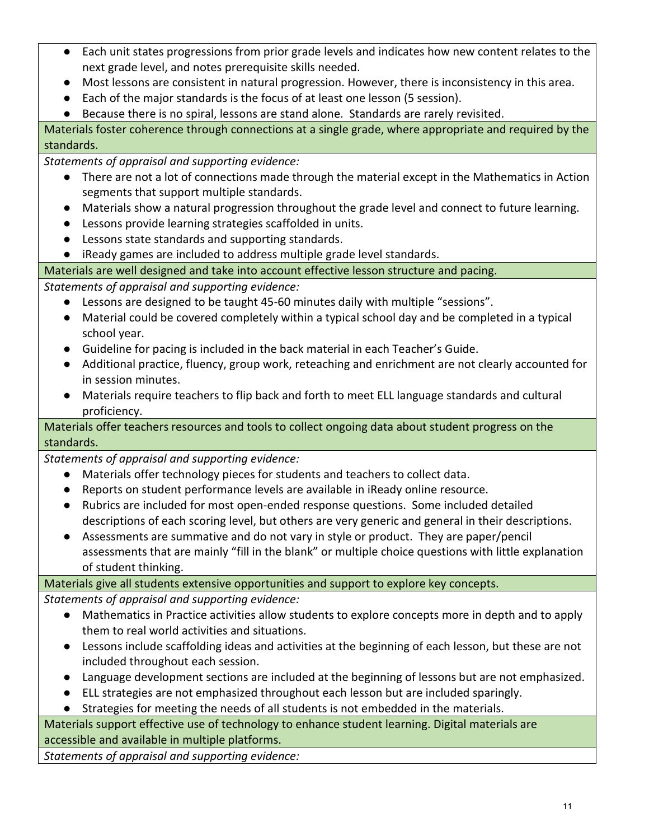- Each unit states progressions from prior grade levels and indicates how new content relates to the next grade level, and notes prerequisite skills needed.
- Most lessons are consistent in natural progression. However, there is inconsistency in this area.
- Each of the major standards is the focus of at least one lesson (5 session).
- Because there is no spiral, lessons are stand alone. Standards are rarely revisited.

Materials foster coherence through connections at a single grade, where appropriate and required by the standards.

*Statements of appraisal and supporting evidence:*

- There are not a lot of connections made through the material except in the Mathematics in Action segments that support multiple standards.
- Materials show a natural progression throughout the grade level and connect to future learning.
- Lessons provide learning strategies scaffolded in units.
- Lessons state standards and supporting standards.
- iReady games are included to address multiple grade level standards.

Materials are well designed and take into account effective lesson structure and pacing.

*Statements of appraisal and supporting evidence:*

- Lessons are designed to be taught 45-60 minutes daily with multiple "sessions".
- Material could be covered completely within a typical school day and be completed in a typical school year.
- Guideline for pacing is included in the back material in each Teacher's Guide.
- Additional practice, fluency, group work, reteaching and enrichment are not clearly accounted for in session minutes.
- Materials require teachers to flip back and forth to meet ELL language standards and cultural proficiency.

Materials offer teachers resources and tools to collect ongoing data about student progress on the standards.

*Statements of appraisal and supporting evidence:*

- Materials offer technology pieces for students and teachers to collect data.
- Reports on student performance levels are available in iReady online resource.
- Rubrics are included for most open-ended response questions. Some included detailed descriptions of each scoring level, but others are very generic and general in their descriptions.
- Assessments are summative and do not vary in style or product. They are paper/pencil assessments that are mainly "fill in the blank" or multiple choice questions with little explanation of student thinking.

# Materials give all students extensive opportunities and support to explore key concepts.

*Statements of appraisal and supporting evidence:*

- Mathematics in Practice activities allow students to explore concepts more in depth and to apply them to real world activities and situations.
- Lessons include scaffolding ideas and activities at the beginning of each lesson, but these are not included throughout each session.
- Language development sections are included at the beginning of lessons but are not emphasized.
- ELL strategies are not emphasized throughout each lesson but are included sparingly.
- Strategies for meeting the needs of all students is not embedded in the materials.

Materials support effective use of technology to enhance student learning. Digital materials are accessible and available in multiple platforms.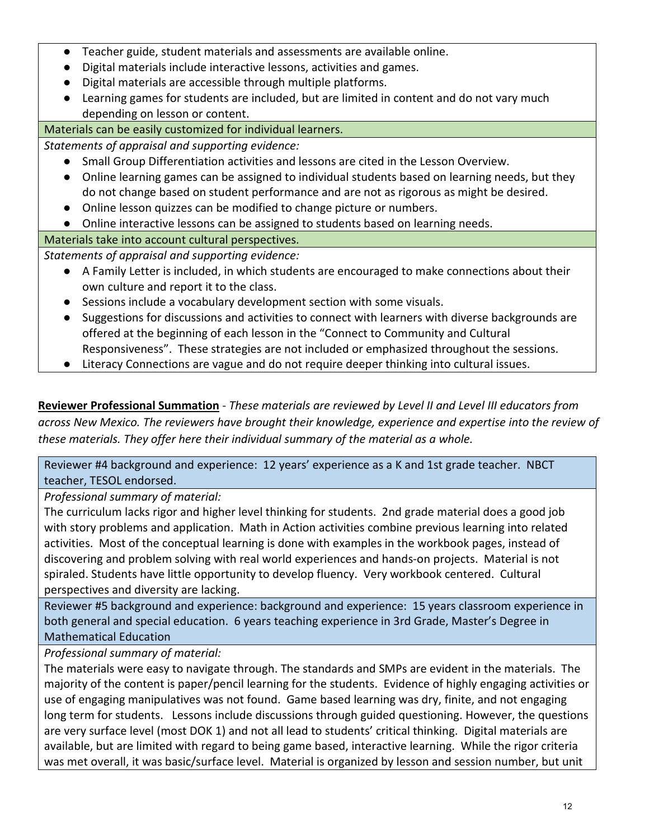- Teacher guide, student materials and assessments are available online.
- Digital materials include interactive lessons, activities and games.
- Digital materials are accessible through multiple platforms.
- Learning games for students are included, but are limited in content and do not vary much depending on lesson or content.

Materials can be easily customized for individual learners.

*Statements of appraisal and supporting evidence:*

- Small Group Differentiation activities and lessons are cited in the Lesson Overview.
- Online learning games can be assigned to individual students based on learning needs, but they do not change based on student performance and are not as rigorous as might be desired.
- Online lesson quizzes can be modified to change picture or numbers.
- Online interactive lessons can be assigned to students based on learning needs.

# Materials take into account cultural perspectives.

*Statements of appraisal and supporting evidence:*

- A Family Letter is included, in which students are encouraged to make connections about their own culture and report it to the class.
- Sessions include a vocabulary development section with some visuals.
- Suggestions for discussions and activities to connect with learners with diverse backgrounds are offered at the beginning of each lesson in the "Connect to Community and Cultural Responsiveness". These strategies are not included or emphasized throughout the sessions.
- Literacy Connections are vague and do not require deeper thinking into cultural issues.

**Reviewer Professional Summation** - *These materials are reviewed by Level II and Level III educators from across New Mexico. The reviewers have brought their knowledge, experience and expertise into the review of these materials. They offer here their individual summary of the material as a whole.* 

Reviewer #4 background and experience: 12 years' experience as a K and 1st grade teacher. NBCT teacher, TESOL endorsed.

*Professional summary of material:*

The curriculum lacks rigor and higher level thinking for students. 2nd grade material does a good job with story problems and application. Math in Action activities combine previous learning into related activities. Most of the conceptual learning is done with examples in the workbook pages, instead of discovering and problem solving with real world experiences and hands-on projects. Material is not spiraled. Students have little opportunity to develop fluency. Very workbook centered. Cultural perspectives and diversity are lacking.

Reviewer #5 background and experience: background and experience: 15 years classroom experience in both general and special education. 6 years teaching experience in 3rd Grade, Master's Degree in Mathematical Education

*Professional summary of material:*

The materials were easy to navigate through. The standards and SMPs are evident in the materials. The majority of the content is paper/pencil learning for the students. Evidence of highly engaging activities or use of engaging manipulatives was not found. Game based learning was dry, finite, and not engaging long term for students. Lessons include discussions through guided questioning. However, the questions are very surface level (most DOK 1) and not all lead to students' critical thinking. Digital materials are available, but are limited with regard to being game based, interactive learning. While the rigor criteria was met overall, it was basic/surface level. Material is organized by lesson and session number, but unit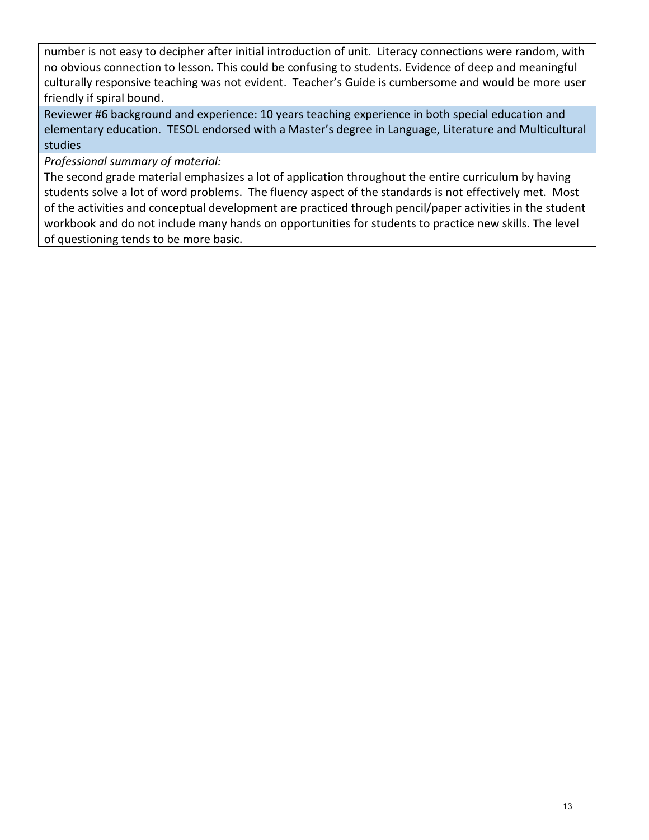number is not easy to decipher after initial introduction of unit. Literacy connections were random, with no obvious connection to lesson. This could be confusing to students. Evidence of deep and meaningful culturally responsive teaching was not evident. Teacher's Guide is cumbersome and would be more user friendly if spiral bound.

Reviewer #6 background and experience: 10 years teaching experience in both special education and elementary education. TESOL endorsed with a Master's degree in Language, Literature and Multicultural studies

*Professional summary of material:*

The second grade material emphasizes a lot of application throughout the entire curriculum by having students solve a lot of word problems. The fluency aspect of the standards is not effectively met. Most of the activities and conceptual development are practiced through pencil/paper activities in the student workbook and do not include many hands on opportunities for students to practice new skills. The level of questioning tends to be more basic.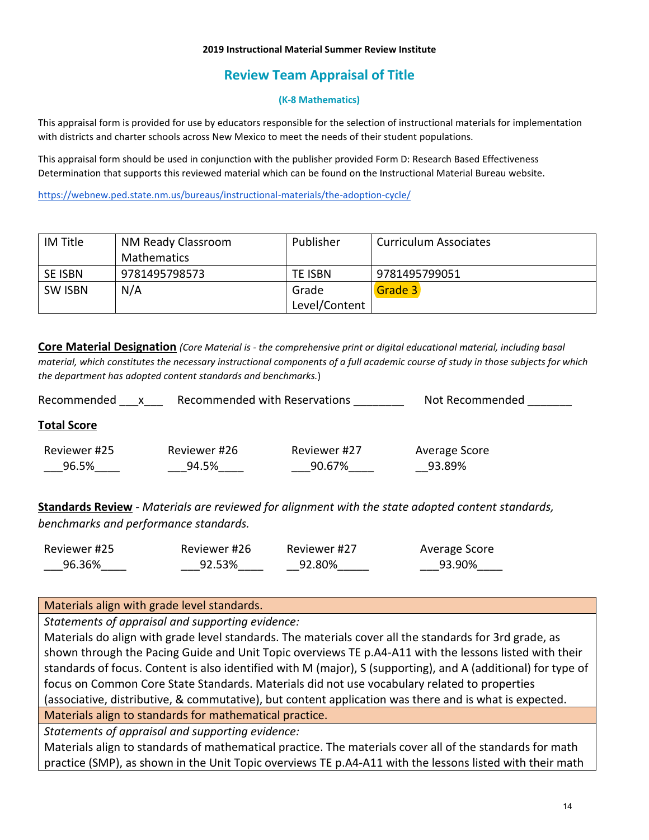# **Review Team Appraisal of Title**

### **(K-8 Mathematics)**

This appraisal form is provided for use by educators responsible for the selection of instructional materials for implementation with districts and charter schools across New Mexico to meet the needs of their student populations.

This appraisal form should be used in conjunction with the publisher provided Form D: Research Based Effectiveness Determination that supports this reviewed material which can be found on the Instructional Material Bureau website.

<https://webnew.ped.state.nm.us/bureaus/instructional-materials/the-adoption-cycle/>

| IM Title       | NM Ready Classroom | Publisher     | <b>Curriculum Associates</b> |
|----------------|--------------------|---------------|------------------------------|
|                | <b>Mathematics</b> |               |                              |
| <b>SE ISBN</b> | 9781495798573      | TE ISBN       | 9781495799051                |
| <b>SW ISBN</b> | N/A                | Grade         | Grade 3                      |
|                |                    | Level/Content |                              |

**Core Material Designation** *(Core Material is - the comprehensive print or digital educational material, including basal material, which constitutes the necessary instructional components of a full academic course of study in those subjects for which the department has adopted content standards and benchmarks.*)

| Recommended           | <b>Recommended with Reservations</b><br>x |                        | Not Recommended         |  |
|-----------------------|-------------------------------------------|------------------------|-------------------------|--|
| <b>Total Score</b>    |                                           |                        |                         |  |
| Reviewer #25<br>96.5% | Reviewer #26<br>94.5%                     | Reviewer #27<br>90.67% | Average Score<br>93.89% |  |

**Standards Review** - *Materials are reviewed for alignment with the state adopted content standards, benchmarks and performance standards.*

| Reviewer #25 | Reviewer #26 | Reviewer #27 | Average Score |
|--------------|--------------|--------------|---------------|
| 96.36%       | 92.53%       | 92.80%       | 93.90%        |

Materials align with grade level standards.

*Statements of appraisal and supporting evidence:*

Materials do align with grade level standards. The materials cover all the standards for 3rd grade, as shown through the Pacing Guide and Unit Topic overviews TE p.A4-A11 with the lessons listed with their standards of focus. Content is also identified with M (major), S (supporting), and A (additional) for type of focus on Common Core State Standards. Materials did not use vocabulary related to properties (associative, distributive, & commutative), but content application was there and is what is expected. Materials align to standards for mathematical practice.

*Statements of appraisal and supporting evidence:*

Materials align to standards of mathematical practice. The materials cover all of the standards for math practice (SMP), as shown in the Unit Topic overviews TE p.A4-A11 with the lessons listed with their math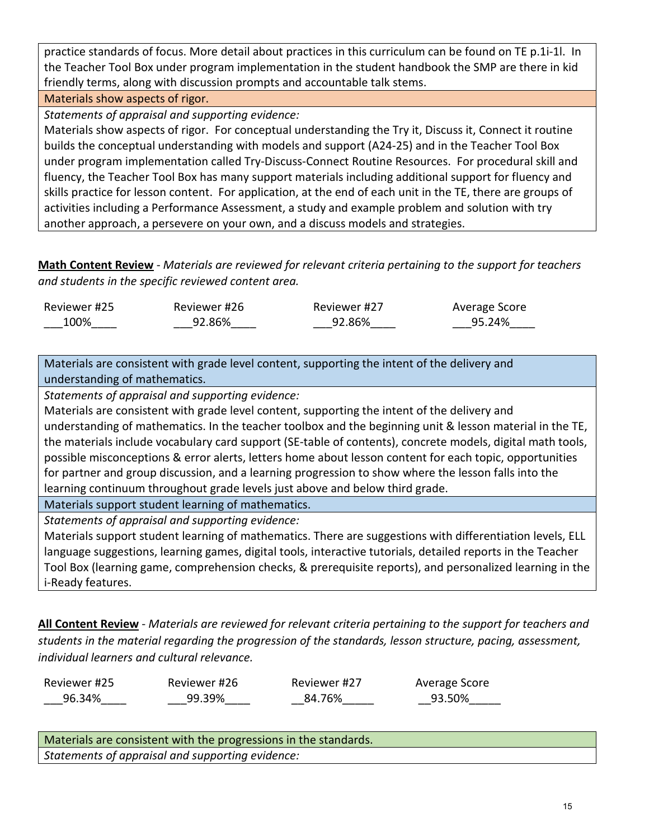practice standards of focus. More detail about practices in this curriculum can be found on TE p.1i-1l. In the Teacher Tool Box under program implementation in the student handbook the SMP are there in kid friendly terms, along with discussion prompts and accountable talk stems.

## Materials show aspects of rigor.

*Statements of appraisal and supporting evidence:*

Materials show aspects of rigor. For conceptual understanding the Try it, Discuss it, Connect it routine builds the conceptual understanding with models and support (A24-25) and in the Teacher Tool Box under program implementation called Try-Discuss-Connect Routine Resources. For procedural skill and fluency, the Teacher Tool Box has many support materials including additional support for fluency and skills practice for lesson content. For application, at the end of each unit in the TE, there are groups of activities including a Performance Assessment, a study and example problem and solution with try another approach, a persevere on your own, and a discuss models and strategies.

**Math Content Review** - *Materials are reviewed for relevant criteria pertaining to the support for teachers and students in the specific reviewed content area.*

| Reviewer #25 | Reviewer #26 | Reviewer #27 | Average Score |
|--------------|--------------|--------------|---------------|
| 100%         | 92.86%       | 92.86%       | 95.24%        |

Materials are consistent with grade level content, supporting the intent of the delivery and understanding of mathematics.

*Statements of appraisal and supporting evidence:*

Materials are consistent with grade level content, supporting the intent of the delivery and understanding of mathematics. In the teacher toolbox and the beginning unit & lesson material in the TE, the materials include vocabulary card support (SE-table of contents), concrete models, digital math tools, possible misconceptions & error alerts, letters home about lesson content for each topic, opportunities for partner and group discussion, and a learning progression to show where the lesson falls into the learning continuum throughout grade levels just above and below third grade.

Materials support student learning of mathematics.

*Statements of appraisal and supporting evidence:*

Materials support student learning of mathematics. There are suggestions with differentiation levels, ELL language suggestions, learning games, digital tools, interactive tutorials, detailed reports in the Teacher Tool Box (learning game, comprehension checks, & prerequisite reports), and personalized learning in the i-Ready features.

**All Content Review** - *Materials are reviewed for relevant criteria pertaining to the support for teachers and students in the material regarding the progression of the standards, lesson structure, pacing, assessment, individual learners and cultural relevance.*

Reviewer #25 \_\_\_96.34%\_\_\_\_

Reviewer #26 \_\_\_99.39%\_\_\_\_

Reviewer #27 \_\_84.76%\_\_\_\_\_

Average Score \_\_93.50%\_\_\_\_\_

Materials are consistent with the progressions in the standards. *Statements of appraisal and supporting evidence:*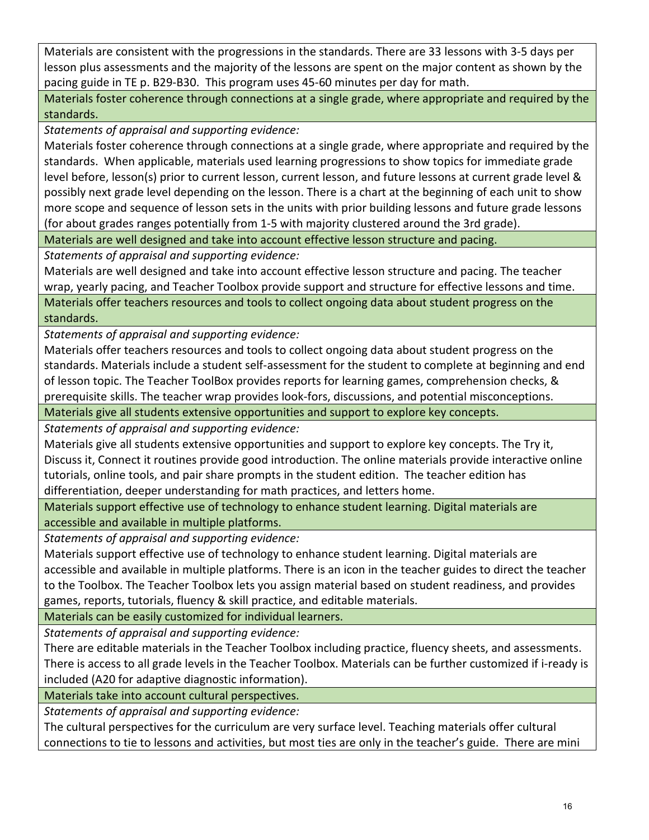Materials are consistent with the progressions in the standards. There are 33 lessons with 3-5 days per lesson plus assessments and the majority of the lessons are spent on the major content as shown by the pacing guide in TE p. B29-B30. This program uses 45-60 minutes per day for math.

Materials foster coherence through connections at a single grade, where appropriate and required by the standards.

*Statements of appraisal and supporting evidence:*

Materials foster coherence through connections at a single grade, where appropriate and required by the standards. When applicable, materials used learning progressions to show topics for immediate grade level before, lesson(s) prior to current lesson, current lesson, and future lessons at current grade level & possibly next grade level depending on the lesson. There is a chart at the beginning of each unit to show more scope and sequence of lesson sets in the units with prior building lessons and future grade lessons (for about grades ranges potentially from 1-5 with majority clustered around the 3rd grade).

Materials are well designed and take into account effective lesson structure and pacing.

*Statements of appraisal and supporting evidence:*

Materials are well designed and take into account effective lesson structure and pacing. The teacher wrap, yearly pacing, and Teacher Toolbox provide support and structure for effective lessons and time.

Materials offer teachers resources and tools to collect ongoing data about student progress on the standards.

*Statements of appraisal and supporting evidence:*

Materials offer teachers resources and tools to collect ongoing data about student progress on the standards. Materials include a student self-assessment for the student to complete at beginning and end of lesson topic. The Teacher ToolBox provides reports for learning games, comprehension checks, & prerequisite skills. The teacher wrap provides look-fors, discussions, and potential misconceptions.

Materials give all students extensive opportunities and support to explore key concepts.

*Statements of appraisal and supporting evidence:*

Materials give all students extensive opportunities and support to explore key concepts. The Try it, Discuss it, Connect it routines provide good introduction. The online materials provide interactive online tutorials, online tools, and pair share prompts in the student edition. The teacher edition has differentiation, deeper understanding for math practices, and letters home.

Materials support effective use of technology to enhance student learning. Digital materials are accessible and available in multiple platforms.

*Statements of appraisal and supporting evidence:*

Materials support effective use of technology to enhance student learning. Digital materials are accessible and available in multiple platforms. There is an icon in the teacher guides to direct the teacher to the Toolbox. The Teacher Toolbox lets you assign material based on student readiness, and provides games, reports, tutorials, fluency & skill practice, and editable materials.

Materials can be easily customized for individual learners.

*Statements of appraisal and supporting evidence:*

There are editable materials in the Teacher Toolbox including practice, fluency sheets, and assessments. There is access to all grade levels in the Teacher Toolbox. Materials can be further customized if i-ready is included (A20 for adaptive diagnostic information).

Materials take into account cultural perspectives.

*Statements of appraisal and supporting evidence:*

The cultural perspectives for the curriculum are very surface level. Teaching materials offer cultural connections to tie to lessons and activities, but most ties are only in the teacher's guide. There are mini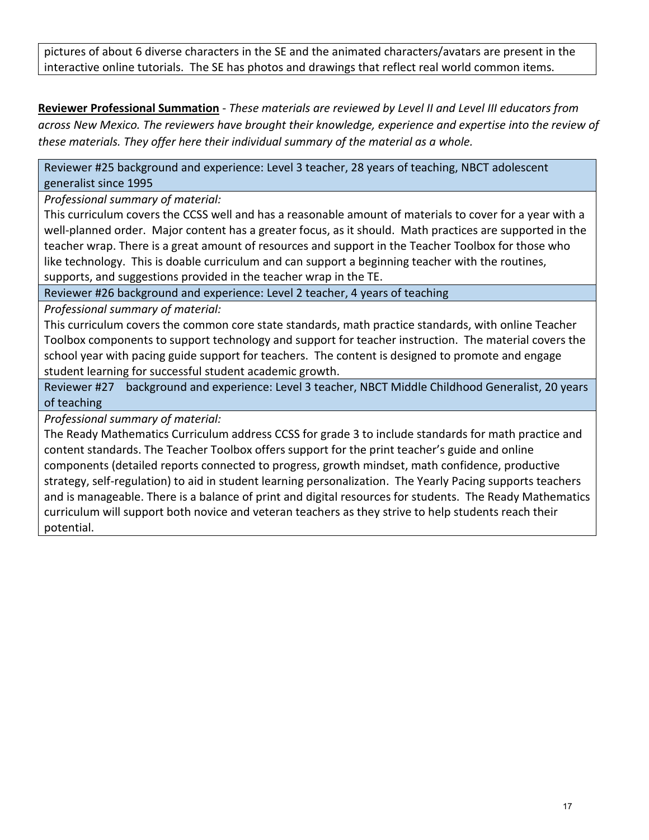pictures of about 6 diverse characters in the SE and the animated characters/avatars are present in the interactive online tutorials. The SE has photos and drawings that reflect real world common items.

**Reviewer Professional Summation** - *These materials are reviewed by Level II and Level III educators from across New Mexico. The reviewers have brought their knowledge, experience and expertise into the review of these materials. They offer here their individual summary of the material as a whole.* 

Reviewer #25 background and experience: Level 3 teacher, 28 years of teaching, NBCT adolescent generalist since 1995

*Professional summary of material:*

This curriculum covers the CCSS well and has a reasonable amount of materials to cover for a year with a well-planned order. Major content has a greater focus, as it should. Math practices are supported in the teacher wrap. There is a great amount of resources and support in the Teacher Toolbox for those who like technology. This is doable curriculum and can support a beginning teacher with the routines, supports, and suggestions provided in the teacher wrap in the TE.

Reviewer #26 background and experience: Level 2 teacher, 4 years of teaching

*Professional summary of material:*

This curriculum covers the common core state standards, math practice standards, with online Teacher Toolbox components to support technology and support for teacher instruction. The material covers the school year with pacing guide support for teachers. The content is designed to promote and engage student learning for successful student academic growth.

Reviewer #27 background and experience: Level 3 teacher, NBCT Middle Childhood Generalist, 20 years of teaching

*Professional summary of material:* 

The Ready Mathematics Curriculum address CCSS for grade 3 to include standards for math practice and content standards. The Teacher Toolbox offers support for the print teacher's guide and online components (detailed reports connected to progress, growth mindset, math confidence, productive strategy, self-regulation) to aid in student learning personalization. The Yearly Pacing supports teachers and is manageable. There is a balance of print and digital resources for students. The Ready Mathematics curriculum will support both novice and veteran teachers as they strive to help students reach their potential.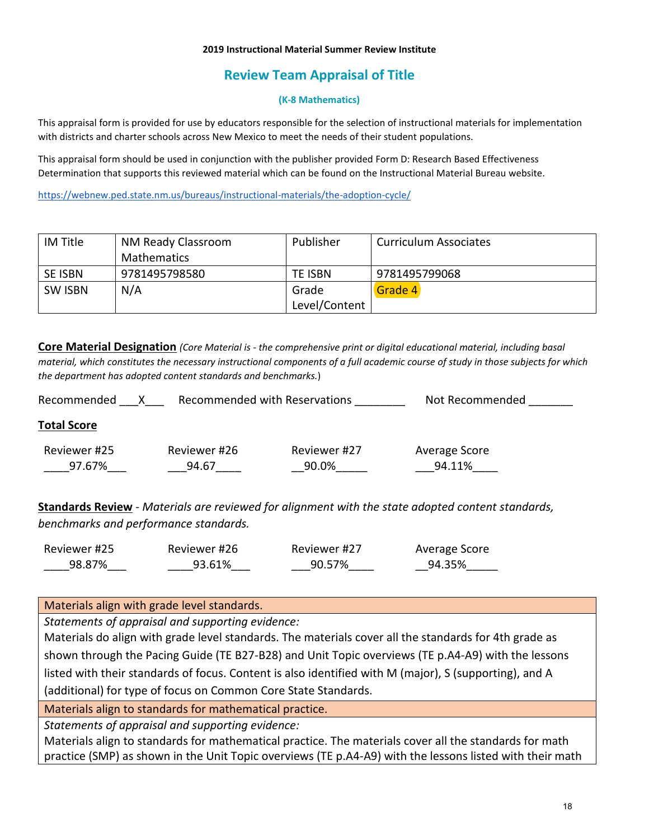# **Review Team Appraisal of Title**

### **(K-8 Mathematics)**

This appraisal form is provided for use by educators responsible for the selection of instructional materials for implementation with districts and charter schools across New Mexico to meet the needs of their student populations.

This appraisal form should be used in conjunction with the publisher provided Form D: Research Based Effectiveness Determination that supports this reviewed material which can be found on the Instructional Material Bureau website.

<https://webnew.ped.state.nm.us/bureaus/instructional-materials/the-adoption-cycle/>

| IM Title       | NM Ready Classroom | Publisher     | Curriculum Associates |
|----------------|--------------------|---------------|-----------------------|
|                | <b>Mathematics</b> |               |                       |
| <b>SE ISBN</b> | 9781495798580      | TE ISBN       | 9781495799068         |
| <b>SW ISBN</b> | N/A                | Grade         | Grade 4               |
|                |                    | Level/Content |                       |

**Core Material Designation** *(Core Material is - the comprehensive print or digital educational material, including basal material, which constitutes the necessary instructional components of a full academic course of study in those subjects for which the department has adopted content standards and benchmarks.*)

| Recommended        |              | Recommended with Reservations | Not Recommended |
|--------------------|--------------|-------------------------------|-----------------|
| <b>Total Score</b> |              |                               |                 |
| Reviewer #25       | Reviewer #26 | Reviewer #27                  | Average Score   |
| 97.67%             | 94.67        | 90.0%                         | 94.11%          |
|                    |              |                               |                 |

**Standards Review** - *Materials are reviewed for alignment with the state adopted content standards, benchmarks and performance standards.*

| Reviewer #25 | Reviewer #26 | Reviewer #27 | Average Score |
|--------------|--------------|--------------|---------------|
| 98.87%       | 93.61%       | 90.57%       | 94.35%        |

Materials align with grade level standards.

*Statements of appraisal and supporting evidence:*

Materials do align with grade level standards. The materials cover all the standards for 4th grade as shown through the Pacing Guide (TE B27-B28) and Unit Topic overviews (TE p.A4-A9) with the lessons listed with their standards of focus. Content is also identified with M (major), S (supporting), and A (additional) for type of focus on Common Core State Standards.

Materials align to standards for mathematical practice.

*Statements of appraisal and supporting evidence:*

Materials align to standards for mathematical practice. The materials cover all the standards for math practice (SMP) as shown in the Unit Topic overviews (TE p.A4-A9) with the lessons listed with their math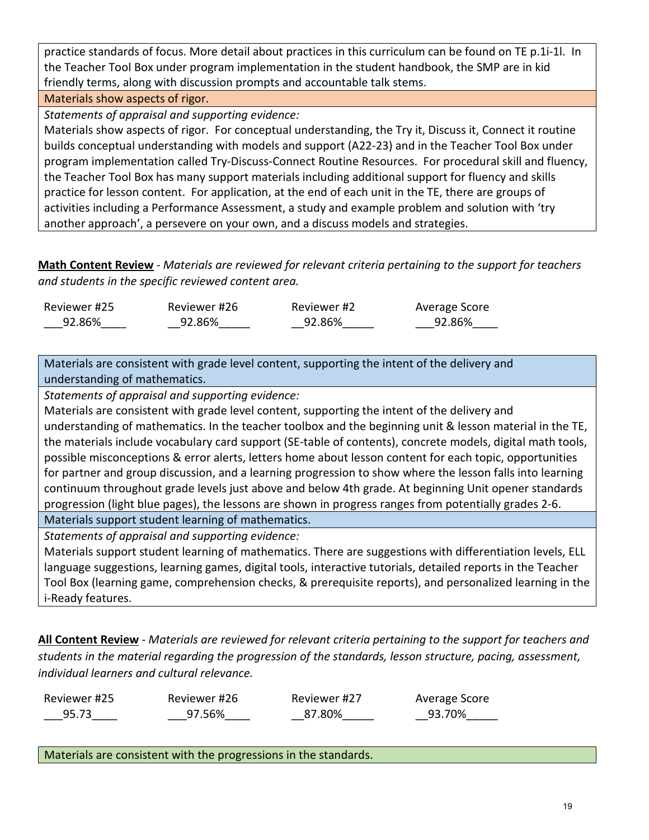practice standards of focus. More detail about practices in this curriculum can be found on TE p.1i-1l. In the Teacher Tool Box under program implementation in the student handbook, the SMP are in kid friendly terms, along with discussion prompts and accountable talk stems.

## Materials show aspects of rigor.

*Statements of appraisal and supporting evidence:*

Materials show aspects of rigor. For conceptual understanding, the Try it, Discuss it, Connect it routine builds conceptual understanding with models and support (A22-23) and in the Teacher Tool Box under program implementation called Try-Discuss-Connect Routine Resources. For procedural skill and fluency, the Teacher Tool Box has many support materials including additional support for fluency and skills practice for lesson content. For application, at the end of each unit in the TE, there are groups of activities including a Performance Assessment, a study and example problem and solution with 'try another approach', a persevere on your own, and a discuss models and strategies.

**Math Content Review** - *Materials are reviewed for relevant criteria pertaining to the support for teachers and students in the specific reviewed content area.*

| Reviewer #25 | Reviewer #26 | Reviewer #2 | Average Score |
|--------------|--------------|-------------|---------------|
| 92.86%       | 92.86%       | 92.86%      | 92.86%        |

Materials are consistent with grade level content, supporting the intent of the delivery and understanding of mathematics.

*Statements of appraisal and supporting evidence:*

Materials are consistent with grade level content, supporting the intent of the delivery and understanding of mathematics. In the teacher toolbox and the beginning unit & lesson material in the TE, the materials include vocabulary card support (SE-table of contents), concrete models, digital math tools, possible misconceptions & error alerts, letters home about lesson content for each topic, opportunities for partner and group discussion, and a learning progression to show where the lesson falls into learning continuum throughout grade levels just above and below 4th grade. At beginning Unit opener standards progression (light blue pages), the lessons are shown in progress ranges from potentially grades 2-6. Materials support student learning of mathematics.

*Statements of appraisal and supporting evidence:*

Materials support student learning of mathematics. There are suggestions with differentiation levels, ELL language suggestions, learning games, digital tools, interactive tutorials, detailed reports in the Teacher Tool Box (learning game, comprehension checks, & prerequisite reports), and personalized learning in the i-Ready features.

**All Content Review** - *Materials are reviewed for relevant criteria pertaining to the support for teachers and students in the material regarding the progression of the standards, lesson structure, pacing, assessment, individual learners and cultural relevance.*

Reviewer #25  $\_$ 95.73 $\_$ 

Reviewer #26  $\_97.56\%$ 

Reviewer #27  $\_87.80\%$ <sub>\_\_\_\_\_\_\_</sub>

Average Score  $-93.70\%$ 

Materials are consistent with the progressions in the standards.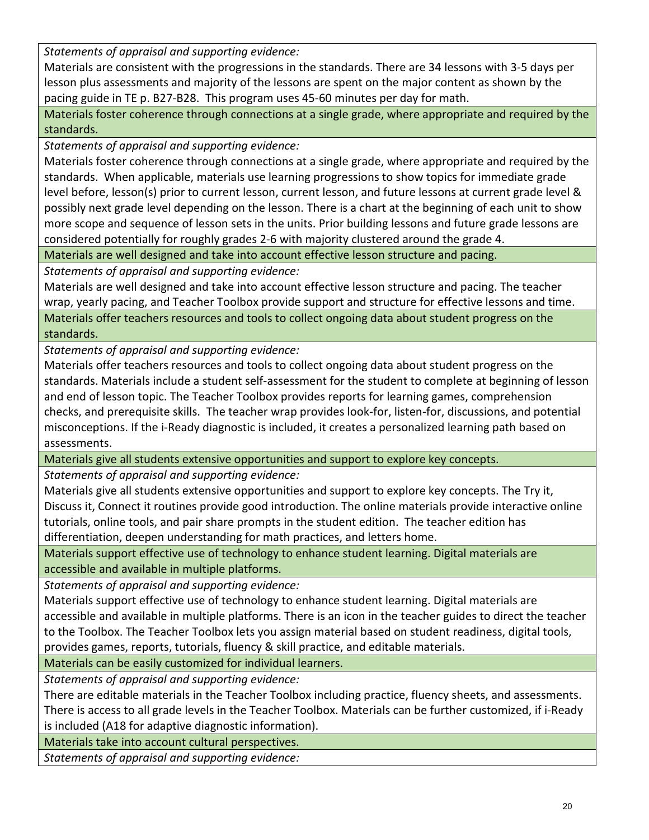*Statements of appraisal and supporting evidence:*

Materials are consistent with the progressions in the standards. There are 34 lessons with 3-5 days per lesson plus assessments and majority of the lessons are spent on the major content as shown by the pacing guide in TE p. B27-B28. This program uses 45-60 minutes per day for math.

Materials foster coherence through connections at a single grade, where appropriate and required by the standards.

*Statements of appraisal and supporting evidence:*

Materials foster coherence through connections at a single grade, where appropriate and required by the standards. When applicable, materials use learning progressions to show topics for immediate grade level before, lesson(s) prior to current lesson, current lesson, and future lessons at current grade level & possibly next grade level depending on the lesson. There is a chart at the beginning of each unit to show more scope and sequence of lesson sets in the units. Prior building lessons and future grade lessons are considered potentially for roughly grades 2-6 with majority clustered around the grade 4.

Materials are well designed and take into account effective lesson structure and pacing.

*Statements of appraisal and supporting evidence:*

Materials are well designed and take into account effective lesson structure and pacing. The teacher wrap, yearly pacing, and Teacher Toolbox provide support and structure for effective lessons and time.

Materials offer teachers resources and tools to collect ongoing data about student progress on the standards.

*Statements of appraisal and supporting evidence:*

Materials offer teachers resources and tools to collect ongoing data about student progress on the standards. Materials include a student self-assessment for the student to complete at beginning of lesson and end of lesson topic. The Teacher Toolbox provides reports for learning games, comprehension checks, and prerequisite skills. The teacher wrap provides look-for, listen-for, discussions, and potential misconceptions. If the i-Ready diagnostic is included, it creates a personalized learning path based on assessments.

Materials give all students extensive opportunities and support to explore key concepts.

*Statements of appraisal and supporting evidence:*

Materials give all students extensive opportunities and support to explore key concepts. The Try it, Discuss it, Connect it routines provide good introduction. The online materials provide interactive online tutorials, online tools, and pair share prompts in the student edition. The teacher edition has differentiation, deepen understanding for math practices, and letters home.

Materials support effective use of technology to enhance student learning. Digital materials are accessible and available in multiple platforms.

*Statements of appraisal and supporting evidence:*

Materials support effective use of technology to enhance student learning. Digital materials are accessible and available in multiple platforms. There is an icon in the teacher guides to direct the teacher to the Toolbox. The Teacher Toolbox lets you assign material based on student readiness, digital tools, provides games, reports, tutorials, fluency & skill practice, and editable materials.

Materials can be easily customized for individual learners.

*Statements of appraisal and supporting evidence:*

There are editable materials in the Teacher Toolbox including practice, fluency sheets, and assessments. There is access to all grade levels in the Teacher Toolbox. Materials can be further customized, if i-Ready is included (A18 for adaptive diagnostic information).

Materials take into account cultural perspectives.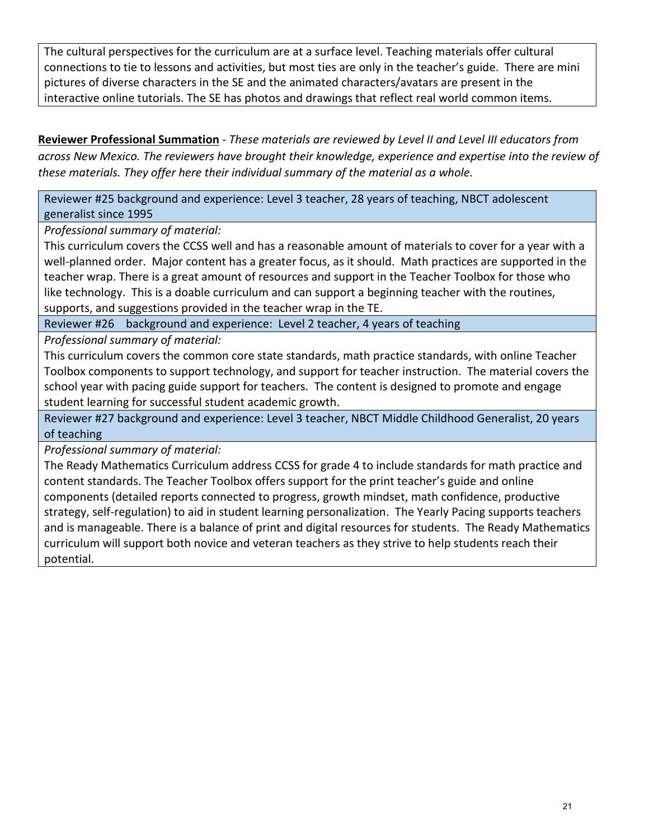The cultural perspectives for the curriculum are at a surface level. Teaching materials offer cultural connections to tie to lessons and activities, but most ties are only in the teacher's guide. There are mini pictures of diverse characters in the SE and the animated characters/avatars are present in the interactive online tutorials. The SE has photos and drawings that reflect real world common items.

**Reviewer Professional Summation** - *These materials are reviewed by Level II and Level III educators from across New Mexico. The reviewers have brought their knowledge, experience and expertise into the review of these materials. They offer here their individual summary of the material as a whole.* 

Reviewer #25 background and experience: Level 3 teacher, 28 years of teaching, NBCT adolescent generalist since 1995

*Professional summary of material:*

This curriculum covers the CCSS well and has a reasonable amount of materials to cover for a year with a well-planned order. Major content has a greater focus, as it should. Math practices are supported in the teacher wrap. There is a great amount of resources and support in the Teacher Toolbox for those who like technology. This is a doable curriculum and can support a beginning teacher with the routines, supports, and suggestions provided in the teacher wrap in the TE.

Reviewer #26 background and experience: Level 2 teacher, 4 years of teaching

*Professional summary of material:*

This curriculum covers the common core state standards, math practice standards, with online Teacher Toolbox components to support technology, and support for teacher instruction. The material covers the school year with pacing guide support for teachers. The content is designed to promote and engage student learning for successful student academic growth.

Reviewer #27 background and experience: Level 3 teacher, NBCT Middle Childhood Generalist, 20 years of teaching

*Professional summary of material:*

The Ready Mathematics Curriculum address CCSS for grade 4 to include standards for math practice and content standards. The Teacher Toolbox offers support for the print teacher's guide and online components (detailed reports connected to progress, growth mindset, math confidence, productive strategy, self-regulation) to aid in student learning personalization. The Yearly Pacing supports teachers and is manageable. There is a balance of print and digital resources for students. The Ready Mathematics curriculum will support both novice and veteran teachers as they strive to help students reach their potential.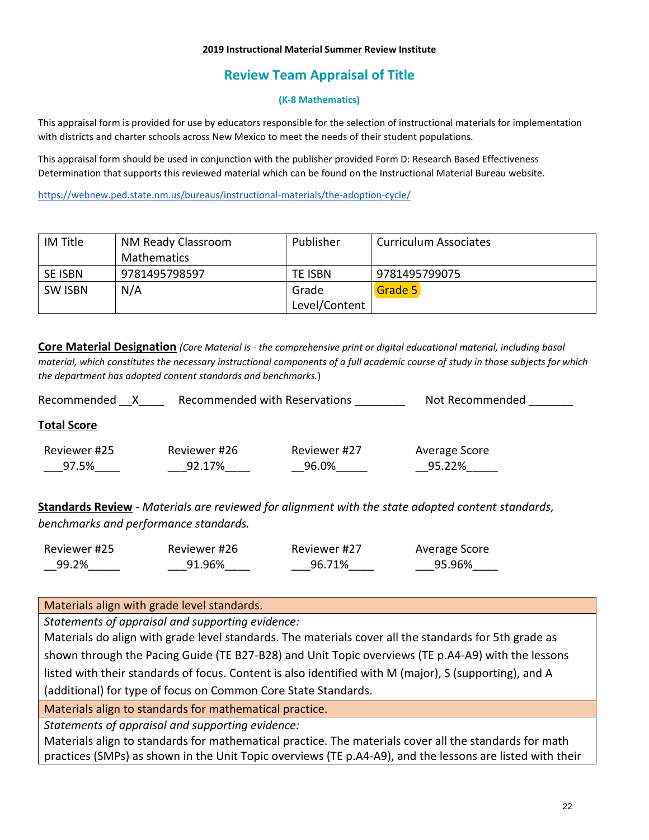# **Review Team Appraisal of Title**

### **(K-8 Mathematics)**

This appraisal form is provided for use by educators responsible for the selection of instructional materials for implementation with districts and charter schools across New Mexico to meet the needs of their student populations.

This appraisal form should be used in conjunction with the publisher provided Form D: Research Based Effectiveness Determination that supports this reviewed material which can be found on the Instructional Material Bureau website.

<https://webnew.ped.state.nm.us/bureaus/instructional-materials/the-adoption-cycle/>

| IM Title       | NM Ready Classroom | Publisher     | Curriculum Associates |
|----------------|--------------------|---------------|-----------------------|
|                | <b>Mathematics</b> |               |                       |
| <b>SE ISBN</b> | 9781495798597      | TE ISBN       | 9781495799075         |
| <b>SW ISBN</b> | N/A                | Grade         | Grade 5               |
|                |                    | Level/Content |                       |

**Core Material Designation** *(Core Material is - the comprehensive print or digital educational material, including basal material, which constitutes the necessary instructional components of a full academic course of study in those subjects for which the department has adopted content standards and benchmarks.*)

| Recommended with Reservations<br>Recommended |                        |                       | Not Recommended         |  |
|----------------------------------------------|------------------------|-----------------------|-------------------------|--|
| <b>Total Score</b>                           |                        |                       |                         |  |
| Reviewer #25<br>97.5%                        | Reviewer #26<br>92.17% | Reviewer #27<br>96.0% | Average Score<br>95.22% |  |

**Standards Review** - *Materials are reviewed for alignment with the state adopted content standards, benchmarks and performance standards.*

| Reviewer #25 | Reviewer #26 | Reviewer #27 | Average Score |
|--------------|--------------|--------------|---------------|
| 99.2%        | 91.96%       | 96.71%       | 95.96%        |

Materials align with grade level standards.

*Statements of appraisal and supporting evidence:*

Materials do align with grade level standards. The materials cover all the standards for 5th grade as shown through the Pacing Guide (TE B27-B28) and Unit Topic overviews (TE p.A4-A9) with the lessons listed with their standards of focus. Content is also identified with M (major), S (supporting), and A (additional) for type of focus on Common Core State Standards.

Materials align to standards for mathematical practice.

*Statements of appraisal and supporting evidence:*

Materials align to standards for mathematical practice. The materials cover all the standards for math practices (SMPs) as shown in the Unit Topic overviews (TE p.A4-A9), and the lessons are listed with their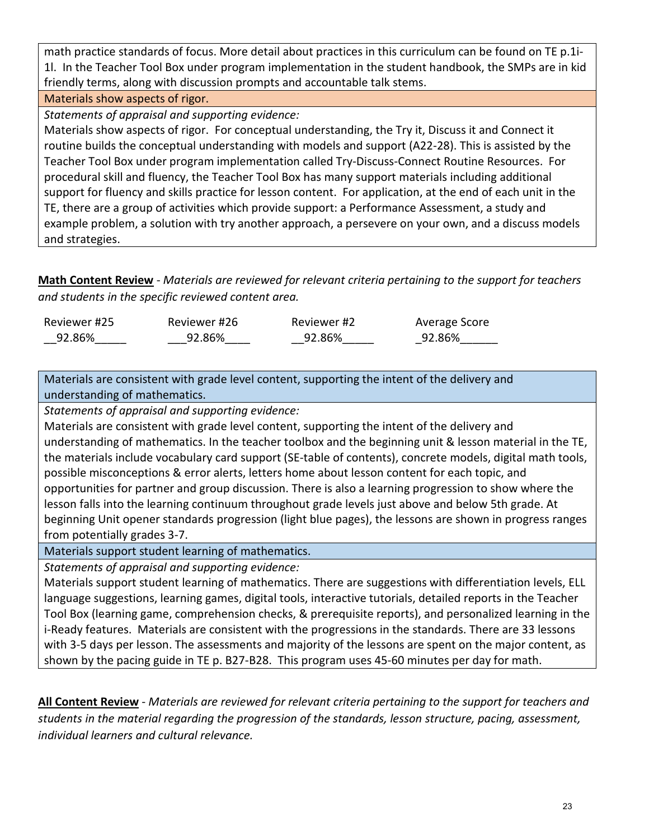math practice standards of focus. More detail about practices in this curriculum can be found on TE p.1i-1l. In the Teacher Tool Box under program implementation in the student handbook, the SMPs are in kid friendly terms, along with discussion prompts and accountable talk stems.

## Materials show aspects of rigor.

*Statements of appraisal and supporting evidence:*

Materials show aspects of rigor. For conceptual understanding, the Try it, Discuss it and Connect it routine builds the conceptual understanding with models and support (A22-28). This is assisted by the Teacher Tool Box under program implementation called Try-Discuss-Connect Routine Resources. For procedural skill and fluency, the Teacher Tool Box has many support materials including additional support for fluency and skills practice for lesson content. For application, at the end of each unit in the TE, there are a group of activities which provide support: a Performance Assessment, a study and example problem, a solution with try another approach, a persevere on your own, and a discuss models and strategies.

**Math Content Review** - *Materials are reviewed for relevant criteria pertaining to the support for teachers and students in the specific reviewed content area.*

| Reviewer #25 | Reviewer #26 | Reviewer #2 | Average Score |
|--------------|--------------|-------------|---------------|
| 92.86%       | 92.86%       | 92.86%      | 92.86%        |

Materials are consistent with grade level content, supporting the intent of the delivery and understanding of mathematics.

*Statements of appraisal and supporting evidence:*

Materials are consistent with grade level content, supporting the intent of the delivery and understanding of mathematics. In the teacher toolbox and the beginning unit & lesson material in the TE, the materials include vocabulary card support (SE-table of contents), concrete models, digital math tools, possible misconceptions & error alerts, letters home about lesson content for each topic, and opportunities for partner and group discussion. There is also a learning progression to show where the lesson falls into the learning continuum throughout grade levels just above and below 5th grade. At beginning Unit opener standards progression (light blue pages), the lessons are shown in progress ranges from potentially grades 3-7.

Materials support student learning of mathematics.

*Statements of appraisal and supporting evidence:*

Materials support student learning of mathematics. There are suggestions with differentiation levels, ELL language suggestions, learning games, digital tools, interactive tutorials, detailed reports in the Teacher Tool Box (learning game, comprehension checks, & prerequisite reports), and personalized learning in the i-Ready features. Materials are consistent with the progressions in the standards. There are 33 lessons with 3-5 days per lesson. The assessments and majority of the lessons are spent on the major content, as shown by the pacing guide in TE p. B27-B28. This program uses 45-60 minutes per day for math.

**All Content Review** - *Materials are reviewed for relevant criteria pertaining to the support for teachers and students in the material regarding the progression of the standards, lesson structure, pacing, assessment, individual learners and cultural relevance.*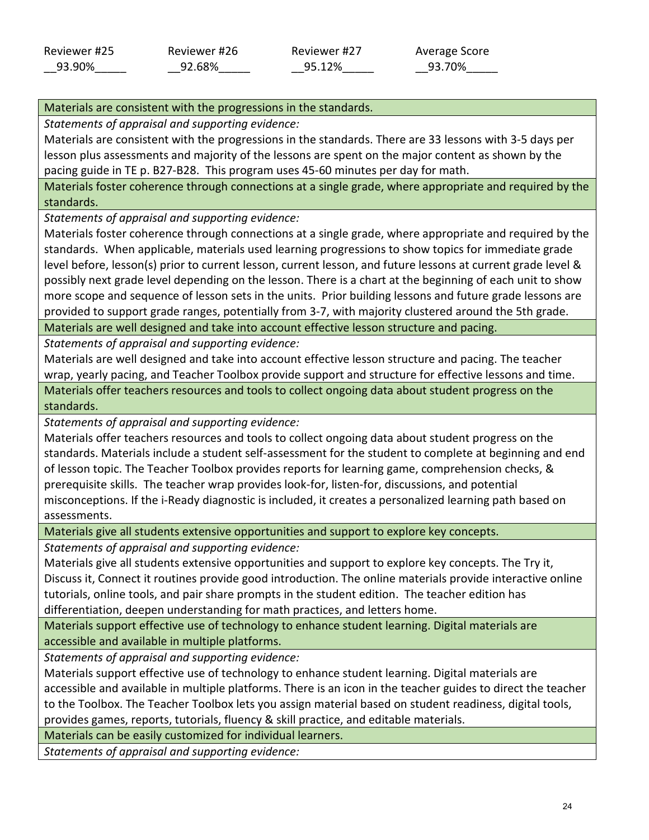### Materials are consistent with the progressions in the standards.

*Statements of appraisal and supporting evidence:*

Materials are consistent with the progressions in the standards. There are 33 lessons with 3-5 days per lesson plus assessments and majority of the lessons are spent on the major content as shown by the pacing guide in TE p. B27-B28. This program uses 45-60 minutes per day for math.

Materials foster coherence through connections at a single grade, where appropriate and required by the standards.

*Statements of appraisal and supporting evidence:*

Materials foster coherence through connections at a single grade, where appropriate and required by the standards. When applicable, materials used learning progressions to show topics for immediate grade level before, lesson(s) prior to current lesson, current lesson, and future lessons at current grade level & possibly next grade level depending on the lesson. There is a chart at the beginning of each unit to show more scope and sequence of lesson sets in the units. Prior building lessons and future grade lessons are provided to support grade ranges, potentially from 3-7, with majority clustered around the 5th grade. Materials are well designed and take into account effective lesson structure and pacing.

*Statements of appraisal and supporting evidence:*

Materials are well designed and take into account effective lesson structure and pacing. The teacher wrap, yearly pacing, and Teacher Toolbox provide support and structure for effective lessons and time. Materials offer teachers resources and tools to collect ongoing data about student progress on the standards.

*Statements of appraisal and supporting evidence:*

Materials offer teachers resources and tools to collect ongoing data about student progress on the standards. Materials include a student self-assessment for the student to complete at beginning and end of lesson topic. The Teacher Toolbox provides reports for learning game, comprehension checks, & prerequisite skills. The teacher wrap provides look-for, listen-for, discussions, and potential misconceptions. If the i-Ready diagnostic is included, it creates a personalized learning path based on assessments.

Materials give all students extensive opportunities and support to explore key concepts.

*Statements of appraisal and supporting evidence:*

Materials give all students extensive opportunities and support to explore key concepts. The Try it, Discuss it, Connect it routines provide good introduction. The online materials provide interactive online tutorials, online tools, and pair share prompts in the student edition. The teacher edition has differentiation, deepen understanding for math practices, and letters home.

Materials support effective use of technology to enhance student learning. Digital materials are accessible and available in multiple platforms.

*Statements of appraisal and supporting evidence:*

Materials support effective use of technology to enhance student learning. Digital materials are accessible and available in multiple platforms. There is an icon in the teacher guides to direct the teacher to the Toolbox. The Teacher Toolbox lets you assign material based on student readiness, digital tools, provides games, reports, tutorials, fluency & skill practice, and editable materials.

Materials can be easily customized for individual learners.